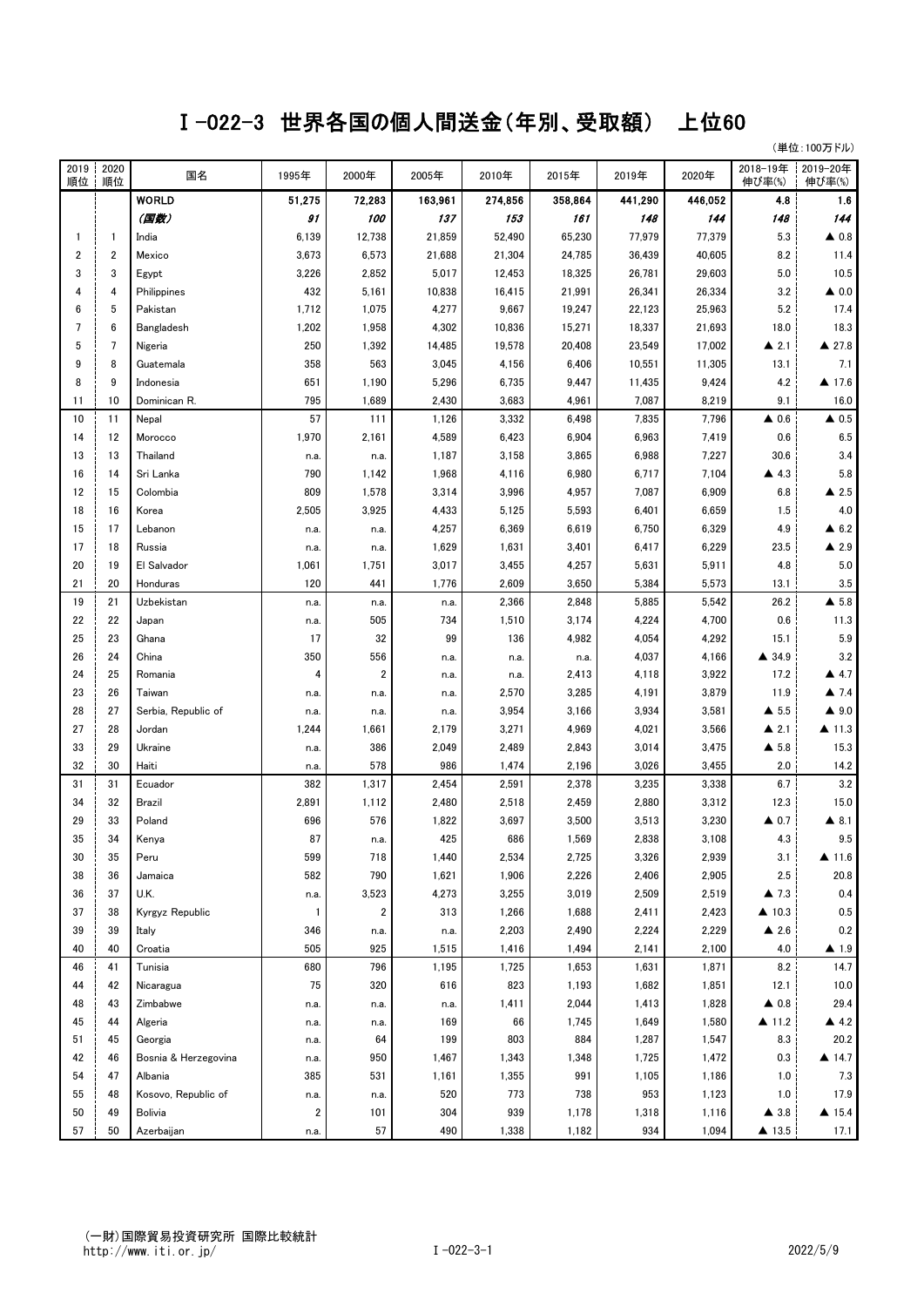## Ⅰ-022-3 世界各国の個人間送金(年別、受取額) 上位60

(単位:100万ドル)

| 2019<br>順位     | 2020<br>順位     | 国名                   | 1995年                           | 2000年                   | 2005年   | 2010年   | 2015年   | 2019年   | 2020年   | 2018-19年<br>伸び率(%)   | 2019-20年<br>伸び率(%)   |
|----------------|----------------|----------------------|---------------------------------|-------------------------|---------|---------|---------|---------|---------|----------------------|----------------------|
|                |                | <b>WORLD</b>         | 51,275                          | 72,283                  | 163,961 | 274,856 | 358,864 | 441,290 | 446,052 | 4.8                  | 1.6                  |
|                |                | (国数)                 | 91                              | 100                     | 137     | 153     | 161     | 148     | 144     | 148                  | 144                  |
| -1             | $\mathbf{1}$   | India                | 6,139                           | 12,738                  | 21,859  | 52,490  | 65,230  | 77,979  | 77,379  | 5.3                  | $\triangle$ 0.8      |
| $\overline{2}$ | 2              | Mexico               | 3,673                           | 6,573                   | 21,688  | 21,304  | 24,785  | 36,439  | 40,605  | 8.2                  | 11.4                 |
| 3              | 3              | Egypt                | 3,226                           | 2,852                   | 5,017   | 12,453  | 18,325  | 26,781  | 29,603  | 5.0                  | 10.5                 |
|                | 4              | Philippines          | 432                             | 5,161                   | 10,838  | 16,415  | 21,991  | 26,341  | 26,334  | 3.2                  | $\triangle$ 0.0      |
| 6              | 5              | Pakistan             | 1,712                           | 1,075                   | 4,277   | 9,667   | 19,247  | 22,123  | 25,963  | 5.2                  | 17.4                 |
| 7              | 6              | Bangladesh           | 1,202                           | 1,958                   | 4,302   | 10,836  | 15,271  | 18,337  | 21,693  | 18.0                 | 18.3                 |
| 5              | $\overline{7}$ | Nigeria              | 250                             | 1,392                   | 14,485  | 19,578  | 20,408  | 23,549  | 17,002  | $\triangle$ 2.1      | ▲ 27.8               |
| 9              | 8              | Guatemala            | 358                             | 563                     | 3,045   | 4,156   | 6,406   | 10,551  | 11,305  | 13.1                 | 7.1                  |
| 8              | 9              | Indonesia            | 651                             | 1,190                   | 5,296   | 6,735   | 9,447   | 11,435  | 9,424   | 4.2                  | ▲ 17.6               |
| 11             | 10             | Dominican R.         | 795                             | 1,689                   | 2,430   | 3,683   | 4,961   | 7,087   | 8,219   | 9.1                  | 16.0                 |
| 10             | 11             | Nepal                | 57                              | 111                     | 1,126   | 3,332   | 6,498   | 7,835   | 7,796   | $\triangle$ 0.6      | $\triangle$ 0.5      |
| 14             | 12             | Morocco              | 1,970                           | 2,161                   | 4,589   | 6,423   | 6,904   | 6,963   | 7,419   | 0.6                  | 6.5                  |
| 13             | 13             | Thailand             | n.a.                            | n.a.                    | 1,187   | 3,158   | 3,865   | 6,988   | 7,227   | 30.6                 | 3.4                  |
| 16             | 14             | Sri Lanka            | 790                             | 1,142                   | 1,968   | 4,116   | 6,980   | 6,717   | 7,104   | $\triangle$ 4.3      | 5.8                  |
| 12             | 15             | Colombia             | 809                             | 1,578                   | 3,314   | 3,996   | 4,957   | 7,087   | 6,909   | 6.8                  | $\triangle$ 2.5      |
| 18             | 16             | Korea                | 2,505                           | 3,925                   | 4,433   | 5,125   | 5,593   | 6,401   | 6,659   | 1.5                  | 4.0                  |
| 15             | 17             | Lebanon              | n.a.                            | n.a.                    | 4,257   | 6,369   | 6,619   | 6,750   | 6,329   | 4.9                  | $\triangle$ 6.2      |
| 17             | 18             | Russia               | n.a.                            | n.a.                    | 1,629   | 1,631   | 3,401   | 6,417   | 6,229   | 23.5                 | $\triangle$ 2.9      |
| 20             | 19             | El Salvador          | 1,061                           | 1,751                   | 3,017   | 3,455   | 4,257   | 5,631   | 5,911   | 4.8                  | 5.0                  |
| 21             | 20             | Honduras             | 120                             | 441                     | 1,776   | 2,609   | 3,650   | 5,384   | 5,573   | 13.1                 | 3.5                  |
| 19             | 21             | Uzbekistan           | n.a.                            | n.a.                    | n.a.    | 2,366   | 2,848   | 5,885   | 5,542   | 26.2                 | $\triangle$ 5.8      |
| 22             | 22             | Japan                | n.a.                            | 505                     | 734     | 1,510   | 3,174   | 4,224   | 4,700   | 0.6                  | 11.3                 |
| 25             | 23             | Ghana                | 17                              | 32                      | 99      | 136     | 4,982   | 4,054   | 4,292   | 15.1                 | 5.9                  |
| 26             | 24             | China                | 350                             | 556                     | n.a.    | n.a.    | n.a.    | 4,037   | 4,166   | ▲ 34.9               | 3.2                  |
| 24             | 25             | Romania              | 4                               | $\overline{\mathbf{c}}$ | n.a.    | n.a.    | 2,413   | 4,118   | 3,922   | 17.2                 | 4.7                  |
| 23             | 26             | Taiwan               | n.a.                            | n.a.                    | n.a.    | 2,570   | 3,285   | 4,191   | 3,879   | 11.9                 | $\blacktriangle$ 7.4 |
| 28             | 27             | Serbia, Republic of  | n.a.                            | n.a.                    | n.a.    | 3,954   | 3,166   | 3,934   | 3,581   | $\triangle$ 5.5      | $\blacktriangle$ 9.0 |
| 27             | 28             | Jordan               | 1,244                           | 1,661                   | 2,179   | 3,271   | 4,969   | 4,021   | 3,566   | $\triangle$ 2.1      | $\triangle$ 11.3     |
| 33             | 29             | Ukraine              | n.a.                            | 386                     | 2,049   | 2,489   | 2,843   | 3,014   | 3,475   | $\triangle$ 5.8      | 15.3                 |
| 32             | 30             | Haiti                | n.a.                            | 578                     | 986     | 1,474   | 2,196   | 3,026   | 3,455   | 2.0                  | 14.2                 |
| 31             | 31             | Ecuador              | 382                             | 1,317                   | 2,454   | 2,591   | 2,378   | 3,235   | 3,338   | 6.7                  | 3.2                  |
| 34             | 32             | Brazil               | 2,891                           | 1,112                   | 2,480   | 2,518   | 2,459   | 2,880   | 3,312   | 12.3                 | 15.0                 |
| 29             | 33             | Poland               | 696                             | 576                     | 1,822   | 3,697   | 3,500   | 3,513   | 3,230   | $\triangle$ 0.7      | $\blacktriangle$ 8.1 |
| 35             | 34             | Kenya                | 87                              | n.a.                    | 425     | 686     | 1,569   | 2,838   | 3,108   | 4.3                  | 9.5                  |
| 30             | 35             | Peru                 | 599                             | 718                     | 1,440   | 2,534   | 2,725   | 3,326   | 2,939   | 3.1                  | 41.6                 |
| 38             | 36             | Jamaica              | 582                             | 790                     | 1,621   | 1,906   | 2,226   | 2,406   | 2,905   | 2.5                  | 20.8                 |
| 36             | 37             | U.K.                 | n.a.                            | 3,523                   | 4,273   | 3,255   | 3,019   | 2,509   | 2,519   | $\blacktriangle$ 7.3 | 0.4                  |
| 37             | 38             | Kyrgyz Republic      | $\overline{1}$                  | $\overline{\mathbf{c}}$ | 313     | 1,266   | 1,688   | 2,411   | 2,423   | $\triangle$ 10.3     | 0.5                  |
| 39             | 39             | Italy                | 346                             | n.a.                    | n.a.    | 2,203   | 2,490   | 2,224   | 2,229   | $\triangle$ 2.6      | 0.2                  |
| 40             | 40             | Croatia              | 505                             | 925                     | 1,515   | 1,416   | 1,494   | 2,141   | 2,100   | 4.0                  | ▲ 1.9                |
| 46             | 41             | Tunisia              | 680                             | 796                     | 1,195   | 1,725   | 1,653   | 1,631   | 1,871   | 8.2                  | 14.7                 |
| 44             | 42             | Nicaragua            | 75                              | 320                     | 616     | 823     | 1,193   | 1,682   | 1,851   | 12.1                 | 10.0                 |
| 48             | 43             | Zimbabwe             | n.a.                            | n.a.                    | n.a.    | 1,411   | 2,044   | 1,413   | 1,828   | $\triangle$ 0.8      | 29.4                 |
| 45             | 44             | Algeria              | n.a.                            | n.a.                    | 169     | 66      | 1,745   | 1,649   | 1,580   | ▲ 11.2               | 4.2                  |
| 51             | 45             | Georgia              | n.a.                            | 64                      | 199     | 803     | 884     | 1,287   | 1,547   | 8.3                  | 20.2                 |
| 42             | 46             | Bosnia & Herzegovina | n.a.                            | 950                     | 1,467   | 1,343   | 1,348   | 1,725   | 1,472   | 0.3                  | $\triangle$ 14.7     |
| 54             | 47             | Albania              | 385                             | 531                     | 1,161   | 1,355   | 991     | 1,105   | 1,186   | 1.0                  | 7.3                  |
| 55             | 48             | Kosovo, Republic of  |                                 |                         | 520     | 773     | 738     | 953     | 1,123   | 1.0                  | 17.9                 |
| 50             | 49             | <b>Bolivia</b>       | n.a.<br>$\overline{\mathbf{2}}$ | n.a.<br>101             | 304     | 939     | 1,178   | 1,318   | 1,116   | $\blacktriangle$ 3.8 | $\triangle$ 15.4     |
|                |                |                      |                                 |                         |         |         |         |         |         |                      |                      |
| 57             | 50             | Azerbaijan           | n.a.                            | 57                      | 490     | 1,338   | 1,182   | 934     | 1,094   | ▲ 13.5               | 17.1                 |